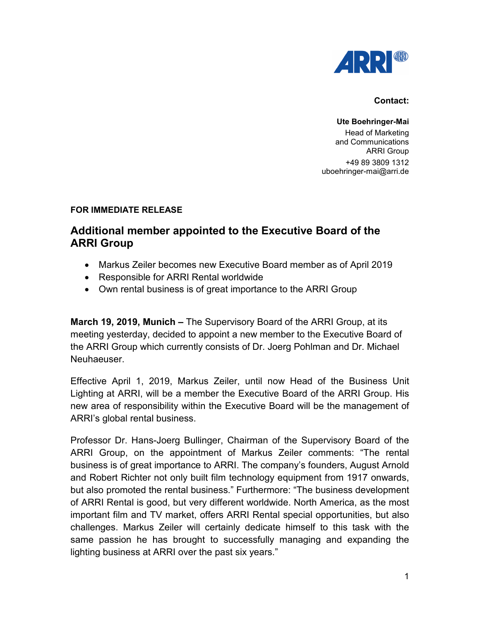

## **Contact:**

**Ute Boehringer-Mai** Head of Marketing and Communications ARRI Group +49 89 3809 1312 uboehringer-mai@arri.de

## **FOR IMMEDIATE RELEASE**

## **Additional member appointed to the Executive Board of the ARRI Group**

- Markus Zeiler becomes new Executive Board member as of April 2019
- Responsible for ARRI Rental worldwide
- Own rental business is of great importance to the ARRI Group

**March 19, 2019, Munich –** The Supervisory Board of the ARRI Group, at its meeting yesterday, decided to appoint a new member to the Executive Board of the ARRI Group which currently consists of Dr. Joerg Pohlman and Dr. Michael Neuhaeuser.

Effective April 1, 2019, Markus Zeiler, until now Head of the Business Unit Lighting at ARRI, will be a member the Executive Board of the ARRI Group. His new area of responsibility within the Executive Board will be the management of ARRI's global rental business.

Professor Dr. Hans-Joerg Bullinger, Chairman of the Supervisory Board of the ARRI Group, on the appointment of Markus Zeiler comments: "The rental business is of great importance to ARRI. The company's founders, August Arnold and Robert Richter not only built film technology equipment from 1917 onwards, but also promoted the rental business." Furthermore: "The business development of ARRI Rental is good, but very different worldwide. North America, as the most important film and TV market, offers ARRI Rental special opportunities, but also challenges. Markus Zeiler will certainly dedicate himself to this task with the same passion he has brought to successfully managing and expanding the lighting business at ARRI over the past six years."